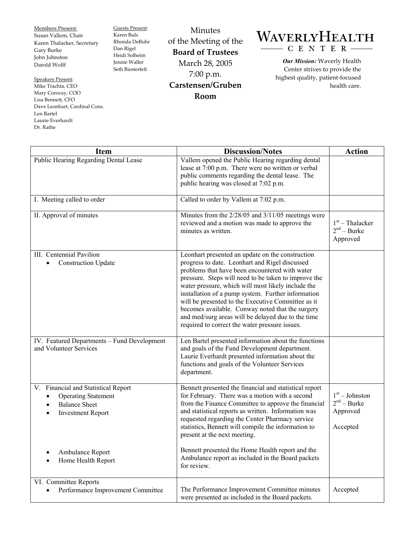Members Present: Susan Vallem, Chair Karen Thalacker, Secretary Gary Burke John Johnston Darold Wolff

Guests Present: Karen Buls Rhonda DeBuhr Dan Rigel Heidi Solheim Jennie Waller Seth Biesterfelt

Speakers Present: Mike Trachta, CEO Mary Conway, COO Lisa Bennett, CFO Dave Leonhart, Cardinal Cons. Len Bartel Laurie Everhardt Dr. Rathe

Minutes of the Meeting of the **Board of Trustees**  March 28, 2005 7:00 p.m. **Carstensen/Gruben Room** 

## WAVERLYHEALTH  $-C E N T E R$

*Our Mission:* Waverly Health Center strives to provide the highest quality, patient-focused health care.

| <b>Item</b>                                                                                                                        | <b>Discussion/Notes</b>                                                                                                                                                                                                                                                                                                                                                                                                                                                                                                                    | <b>Action</b>                                             |
|------------------------------------------------------------------------------------------------------------------------------------|--------------------------------------------------------------------------------------------------------------------------------------------------------------------------------------------------------------------------------------------------------------------------------------------------------------------------------------------------------------------------------------------------------------------------------------------------------------------------------------------------------------------------------------------|-----------------------------------------------------------|
| Public Hearing Regarding Dental Lease                                                                                              | Vallem opened the Public Hearing regarding dental<br>lease at 7:00 p.m. There were no written or verbal<br>public comments regarding the dental lease. The<br>public hearing was closed at 7:02 p.m.                                                                                                                                                                                                                                                                                                                                       |                                                           |
| I. Meeting called to order                                                                                                         | Called to order by Vallem at 7:02 p.m.                                                                                                                                                                                                                                                                                                                                                                                                                                                                                                     |                                                           |
| II. Approval of minutes                                                                                                            | Minutes from the 2/28/05 and 3/11/05 meetings were<br>reviewed and a motion was made to approve the<br>minutes as written.                                                                                                                                                                                                                                                                                                                                                                                                                 | $1st$ – Thalacker<br>$2nd - Burke$<br>Approved            |
| III. Centennial Pavilion<br><b>Construction Update</b>                                                                             | Leonhart presented an update on the construction<br>progress to date. Leonhart and Rigel discussed<br>problems that have been encountered with water<br>pressure. Steps will need to be taken to improve the<br>water pressure, which will most likely include the<br>installation of a pump system. Further information<br>will be presented to the Executive Committee as it<br>becomes available. Conway noted that the surgery<br>and med/surg areas will be delayed due to the time<br>required to correct the water pressure issues. |                                                           |
| IV. Featured Departments - Fund Development<br>and Volunteer Services                                                              | Len Bartel presented information about the functions<br>and goals of the Fund Development department.<br>Laurie Everhardt presented information about the<br>functions and goals of the Volunteer Services<br>department.                                                                                                                                                                                                                                                                                                                  |                                                           |
| V. Financial and Statistical Report<br><b>Operating Statement</b><br>$\bullet$<br><b>Balance Sheet</b><br><b>Investment Report</b> | Bennett presented the financial and statistical report<br>for February. There was a motion with a second<br>from the Finance Committee to approve the financial<br>and statistical reports as written. Information was<br>requested regarding the Center Pharmacy service<br>statistics, Bennett will compile the information to<br>present at the next meeting.                                                                                                                                                                           | $1st - Johnston$<br>$2nd - Burke$<br>Approved<br>Accepted |
| Ambulance Report<br>Home Health Report                                                                                             | Bennett presented the Home Health report and the<br>Ambulance report as included in the Board packets<br>for review.                                                                                                                                                                                                                                                                                                                                                                                                                       |                                                           |
| VI. Committee Reports<br>Performance Improvement Committee                                                                         | The Performance Improvement Committee minutes<br>were presented as included in the Board packets.                                                                                                                                                                                                                                                                                                                                                                                                                                          | Accepted                                                  |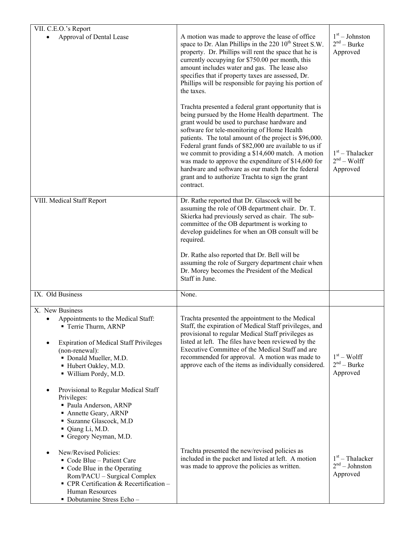| VII. C.E.O.'s Report<br>Approval of Dental Lease                                                                                                                                                                                                                                                                                                                                                        | A motion was made to approve the lease of office<br>space to Dr. Alan Phillips in the $220 \, 10^{th}$ Street S.W.<br>property. Dr. Phillips will rent the space that he is<br>currently occupying for \$750.00 per month, this<br>amount includes water and gas. The lease also<br>specifies that if property taxes are assessed, Dr.<br>Phillips will be responsible for paying his portion of<br>the taxes.<br>Trachta presented a federal grant opportunity that is<br>being pursued by the Home Health department. The<br>grant would be used to purchase hardware and<br>software for tele-monitoring of Home Health<br>patients. The total amount of the project is \$96,000.<br>Federal grant funds of \$82,000 are available to us if<br>we commit to providing a \$14,600 match. A motion<br>was made to approve the expenditure of \$14,600 for<br>hardware and software as our match for the federal<br>grant and to authorize Trachta to sign the grant<br>contract. | $1st - Johnston$<br>$2nd - Burke$<br>Approved<br>$1st$ – Thalacker<br>$2nd - Wolf$<br>Approved |
|---------------------------------------------------------------------------------------------------------------------------------------------------------------------------------------------------------------------------------------------------------------------------------------------------------------------------------------------------------------------------------------------------------|-----------------------------------------------------------------------------------------------------------------------------------------------------------------------------------------------------------------------------------------------------------------------------------------------------------------------------------------------------------------------------------------------------------------------------------------------------------------------------------------------------------------------------------------------------------------------------------------------------------------------------------------------------------------------------------------------------------------------------------------------------------------------------------------------------------------------------------------------------------------------------------------------------------------------------------------------------------------------------------|------------------------------------------------------------------------------------------------|
| VIII. Medical Staff Report                                                                                                                                                                                                                                                                                                                                                                              | Dr. Rathe reported that Dr. Glascock will be<br>assuming the role of OB department chair. Dr. T.<br>Skierka had previously served as chair. The sub-<br>committee of the OB department is working to<br>develop guidelines for when an OB consult will be<br>required.<br>Dr. Rathe also reported that Dr. Bell will be<br>assuming the role of Surgery department chair when<br>Dr. Morey becomes the President of the Medical<br>Staff in June.                                                                                                                                                                                                                                                                                                                                                                                                                                                                                                                                 |                                                                                                |
| IX. Old Business                                                                                                                                                                                                                                                                                                                                                                                        | None.                                                                                                                                                                                                                                                                                                                                                                                                                                                                                                                                                                                                                                                                                                                                                                                                                                                                                                                                                                             |                                                                                                |
| X. New Business<br>Appointments to the Medical Staff:<br>Terrie Thurm, ARNP<br><b>Expiration of Medical Staff Privileges</b><br>(non-renewal):<br>Donald Mueller, M.D.<br>Hubert Oakley, M.D.<br>· William Pordy, M.D.<br>Provisional to Regular Medical Staff<br>Privileges:<br>· Paula Anderson, ARNP<br>• Annette Geary, ARNP<br>· Suzanne Glascock, M.D<br>• Qiang Li, M.D.<br>Gregory Neyman, M.D. | Trachta presented the appointment to the Medical<br>Staff, the expiration of Medical Staff privileges, and<br>provisional to regular Medical Staff privileges as<br>listed at left. The files have been reviewed by the<br>Executive Committee of the Medical Staff and are<br>recommended for approval. A motion was made to<br>approve each of the items as individually considered.                                                                                                                                                                                                                                                                                                                                                                                                                                                                                                                                                                                            | $1st - Wolf$<br>$2nd - Burke$<br>Approved                                                      |
| New/Revised Policies:<br>Code Blue - Patient Care<br>• Code Blue in the Operating<br>Rom/PACU - Surgical Complex<br>• CPR Certification & Recertification -<br>Human Resources<br>• Dobutamine Stress Echo-                                                                                                                                                                                             | Trachta presented the new/revised policies as<br>included in the packet and listed at left. A motion<br>was made to approve the policies as written.                                                                                                                                                                                                                                                                                                                                                                                                                                                                                                                                                                                                                                                                                                                                                                                                                              | $1st$ – Thalacker<br>$2nd - Johnston$<br>Approved                                              |